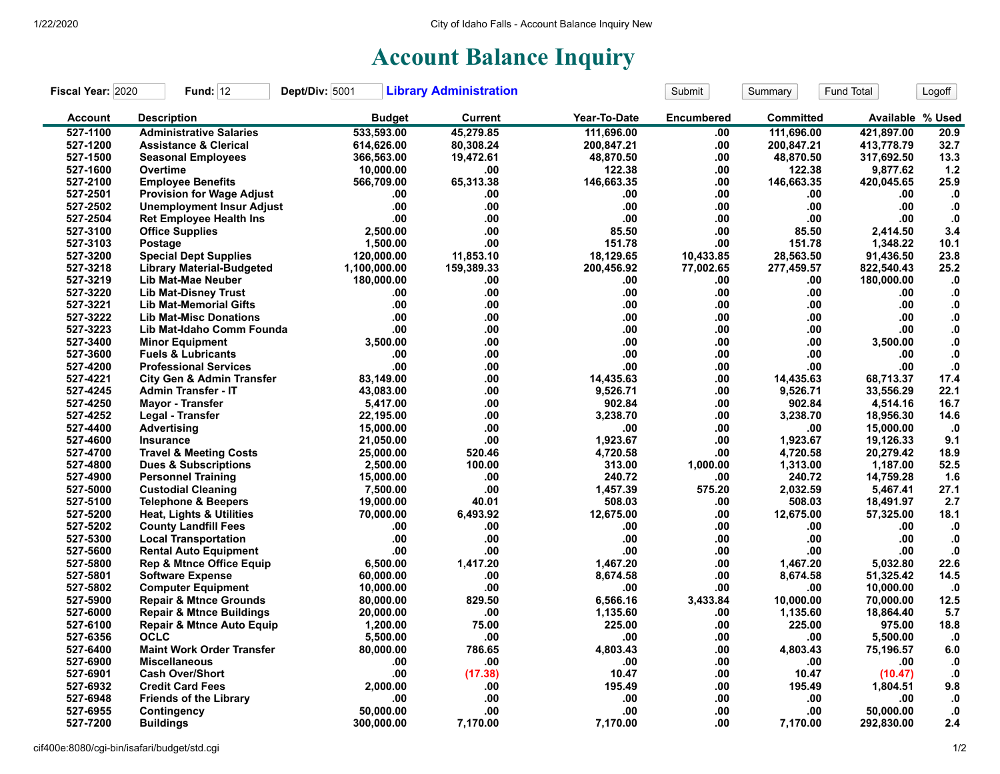## **Account Balance Inquiry**

| Fiscal Year: 2020 | <b>Fund: 12</b>                      | Dept/Div: 5001 | <b>Library Administration</b> |              | Submit            | Summary    | Fund Total       | Logoff        |
|-------------------|--------------------------------------|----------------|-------------------------------|--------------|-------------------|------------|------------------|---------------|
| <b>Account</b>    | <b>Description</b>                   | <b>Budget</b>  | <b>Current</b>                | Year-To-Date | <b>Encumbered</b> | Committed  | Available % Used |               |
| 527-1100          | <b>Administrative Salaries</b>       | 533,593.00     | 45,279.85                     | 111,696.00   | .00               | 111,696.00 | 421,897.00       | 20.9          |
| 527-1200          | <b>Assistance &amp; Clerical</b>     | 614,626.00     | 80,308.24                     | 200,847.21   | .00.              | 200,847.21 | 413,778.79       | 32.7          |
| 527-1500          | <b>Seasonal Employees</b>            | 366,563.00     | 19,472.61                     | 48,870.50    | .00               | 48,870.50  | 317,692.50       | 13.3          |
| 527-1600          | Overtime                             | 10,000.00      | .00                           | 122.38       | .00               | 122.38     | 9,877.62         | 1.2           |
| 527-2100          | <b>Employee Benefits</b>             | 566,709.00     | 65,313.38                     | 146,663.35   | .00               | 146,663.35 | 420,045.65       | 25.9          |
| 527-2501          | <b>Provision for Wage Adjust</b>     | .00            | .00                           | .00          | .00               | .00        | .00              | $\mathbf{0}$  |
| 527-2502          | <b>Unemployment Insur Adjust</b>     | .00            | .00                           | .00.         | .00               | .00        | .00              | $\cdot$ 0     |
| 527-2504          | <b>Ret Employee Health Ins</b>       | .00            | .00                           | .00          | .00               | .00        | .00              | $\cdot$       |
| 527-3100          | <b>Office Supplies</b>               | 2,500.00       | .00                           | 85.50        | .00               | 85.50      | 2,414.50         | 3.4           |
| 527-3103          | Postage                              | 1,500.00       | .00                           | 151.78       | .00               | 151.78     | 1,348.22         | 10.1          |
| 527-3200          | <b>Special Dept Supplies</b>         | 120,000.00     | 11.853.10                     | 18,129.65    | 10,433.85         | 28,563.50  | 91,436.50        | 23.8          |
| 527-3218          | <b>Library Material-Budgeted</b>     | 1,100,000.00   | 159,389.33                    | 200,456.92   | 77,002.65         | 277,459.57 | 822,540.43       | 25.2          |
| 527-3219          | Lib Mat-Mae Neuber                   | 180,000.00     | .00                           | .00          | .00               | .00        | 180,000.00       | $\mathbf{.0}$ |
| 527-3220          | <b>Lib Mat-Disney Trust</b>          | .00            | .00                           | .00          | .00               | .00        | .00              | $\mathbf{.0}$ |
| 527-3221          | <b>Lib Mat-Memorial Gifts</b>        | .00            | .00                           | .00          | .00               | .00        | .00              | ${\bf .0}$    |
| 527-3222          | <b>Lib Mat-Misc Donations</b>        | .00            | .00                           | .00          | .00               | .00        | .00.             | $\mathbf{0}$  |
| 527-3223          | Lib Mat-Idaho Comm Founda            | .00            | .00                           | .00.         | .00               | .00        | .00              | ${\bf 0}.$    |
| 527-3400          | <b>Minor Equipment</b>               | 3,500.00       | .00                           | .00.         | .00               | .00        | 3,500.00         | ${\bf .0}$    |
| 527-3600          | <b>Fuels &amp; Lubricants</b>        | .00            | .00                           | .00          | .00               | .00        | .00              | $\bf{0}$      |
| 527-4200          | <b>Professional Services</b>         | .00            | .00                           | .00          | .00               | .00        | .00              | ${\bf .0}$    |
| 527-4221          | <b>City Gen &amp; Admin Transfer</b> | 83,149.00      | .00                           | 14,435.63    | .00               | 14,435.63  | 68,713.37        | 17.4          |
| 527-4245          | <b>Admin Transfer - IT</b>           | 43,083.00      | .00                           | 9,526.71     | .00               | 9,526.71   | 33,556.29        | 22.1          |
| 527-4250          | <b>Mayor - Transfer</b>              | 5,417.00       | .00                           | 902.84       | .00               | 902.84     | 4,514.16         | 16.7          |
| 527-4252          | Legal - Transfer                     | 22,195.00      | .00                           | 3,238.70     | .00               | 3,238.70   | 18,956.30        | 14.6          |
| 527-4400          | <b>Advertising</b>                   | 15,000.00      | .00                           | .00          | .00               | .00        | 15,000.00        | $\cdot$ 0     |
| 527-4600          | Insurance                            | 21,050.00      | .00                           | 1,923.67     | .00               | 1,923.67   | 19,126.33        | 9.1           |
| 527-4700          | <b>Travel &amp; Meeting Costs</b>    | 25,000.00      | 520.46                        | 4,720.58     | .00               | 4,720.58   | 20,279.42        | 18.9          |
| 527-4800          | <b>Dues &amp; Subscriptions</b>      | 2,500.00       | 100.00                        | 313.00       | 1.000.00          | 1,313.00   | 1,187.00         | 52.5          |
| 527-4900          | <b>Personnel Training</b>            | 15,000.00      | .00                           | 240.72       | .00               | 240.72     | 14,759.28        | 1.6           |
| 527-5000          | <b>Custodial Cleaning</b>            | 7,500.00       | .00                           | 1,457.39     | 575.20            | 2,032.59   | 5,467.41         | 27.1          |
| 527-5100          | <b>Telephone &amp; Beepers</b>       | 19,000.00      | 40.01                         | 508.03       | .00               | 508.03     | 18,491.97        | 2.7           |
| 527-5200          | <b>Heat, Lights &amp; Utilities</b>  | 70,000.00      | 6,493.92                      | 12,675.00    | .00               | 12,675.00  | 57,325.00        | 18.1          |
| 527-5202          | <b>County Landfill Fees</b>          | .00            | .00                           | .00          | .00               | .00        | .00              | $\cdot$ 0     |
| 527-5300          | <b>Local Transportation</b>          | .00            | .00                           | .00          | .00               | .00        | .00              | $\cdot$       |
| 527-5600          | <b>Rental Auto Equipment</b>         | .00            | .00                           | .00.         | .00               | .00        | .00              | $\mathbf{0}$  |
| 527-5800          | <b>Rep &amp; Mtnce Office Equip</b>  | 6,500.00       | 1,417.20                      | 1,467.20     | .00               | 1,467.20   | 5,032.80         | 22.6          |
| 527-5801          | <b>Software Expense</b>              | 60,000.00      | .00                           | 8,674.58     | .00               | 8,674.58   | 51,325.42        | 14.5          |
| 527-5802          | <b>Computer Equipment</b>            | 10,000.00      | .00                           | .00          | .00               | .00        | 10,000.00        | $\cdot$       |
| 527-5900          | <b>Repair &amp; Mtnce Grounds</b>    | 80,000.00      | 829.50                        | 6,566.16     | 3,433.84          | 10,000.00  | 70,000.00        | 12.5          |
| 527-6000          | <b>Repair &amp; Mtnce Buildings</b>  | 20,000.00      | .00                           | 1,135.60     | .00               | 1,135.60   | 18,864.40        | 5.7           |
| 527-6100          | <b>Repair &amp; Mtnce Auto Equip</b> | 1,200.00       | 75.00                         | 225.00       | .00               | 225.00     | 975.00           | 18.8          |
| 527-6356          | <b>OCLC</b>                          | 5,500.00       | .00                           | .00          | .00               | .00        | 5,500.00         | $\mathbf{.0}$ |
| 527-6400          | <b>Maint Work Order Transfer</b>     | 80,000.00      | 786.65                        | 4,803.43     | .00               | 4,803.43   | 75,196.57        | $6.0\,$       |
| 527-6900          | <b>Miscellaneous</b>                 | .00            | .00                           | .00          | .00               | .00        | .00              | $\mathbf{0}$  |
| 527-6901          | <b>Cash Over/Short</b>               | .00            | (17.38)                       | 10.47        | .00               | 10.47      | (10.47)          | $\cdot$ 0     |
| 527-6932          | <b>Credit Card Fees</b>              | 2,000.00       | .00                           | 195.49       | .00               | 195.49     | 1,804.51         | 9.8           |
| 527-6948          | <b>Friends of the Library</b>        | .00            | .00                           | .00          | .00               | .00        | .00              | .0            |
| 527-6955          | Contingency                          | 50.000.00      | .00                           | .00          | .00               | .00        | 50,000.00        | ${\bf .0}$    |
| 527-7200          | <b>Buildings</b>                     | 300.000.00     | 7,170.00                      | 7,170.00     | .00               | 7,170.00   | 292,830.00       | 2.4           |